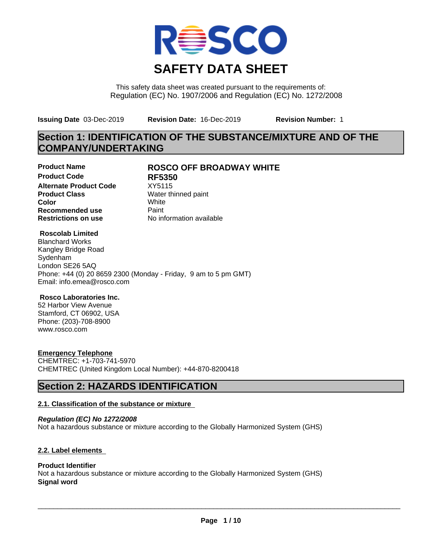

This safety data sheet was created pursuant to the requirements of: Regulation (EC) No. 1907/2006 and Regulation (EC) No. 1272/2008

**Issuing Date** 03-Dec-2019 **Revision Date:** 16-Dec-2019 **Revision Number:** 1

# **Section 1: IDENTIFICATION OF THE SUBSTANCE/MIXTURE AND OF THE COMPANY/UNDERTAKING**

**Product Code RF5350 Alternate Product Code** XY5115<br> **Product Class** Water th **Color** White White **Recommended use** Paint<br> **Restrictions on use** Mo information available **Restrictions on use** 

# **Product Name ROSCO OFF BROADWAY WHITE**

**Water thinned paint** 

### **Roscolab Limited**

Blanchard Works Kangley Bridge Road Sydenham London SE26 5AQ Phone: +44 (0) 20 8659 2300 (Monday - Friday, 9 am to 5 pm GMT) Email: info.emea@rosco.com

#### **Rosco Laboratories Inc.**

52 Harbor View Avenue Stamford, CT 06902, USA Phone: (203)-708-8900 www.rosco.com

# **Emergency Telephone**

CHEMTREC: +1-703-741-5970 CHEMTREC (United Kingdom Local Number): +44-870-8200418

# **Section 2: HAZARDS IDENTIFICATION**

# **2.1. Classification of the substance or mixture**

*Regulation (EC) No 1272/2008* Not a hazardous substance or mixture according to the Globally Harmonized System (GHS)

# **2.2. Label elements**

# **Product Identifier**

Not a hazardous substance or mixture according to the Globally Harmonized System (GHS) **Signal word**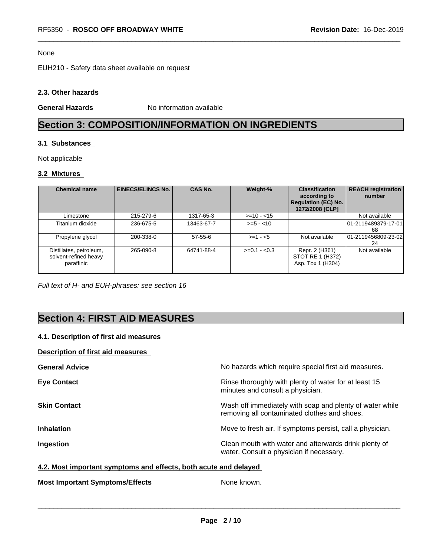#### None

EUH210 - Safety data sheet available on request

### **2.3. Other hazards**

**General Hazards** No information available

# **Section 3: COMPOSITION/INFORMATION ON INGREDIENTS**

#### **3.1 Substances**

Not applicable

# **3.2 Mixtures**

| <b>Chemical name</b>                                           | <b>EINECS/ELINCS No.</b> | <b>CAS No.</b> | Weight-%      | <b>Classification</b><br>according to<br><b>Regulation (EC) No.</b><br>1272/2008 [CLP] | <b>REACH registration</b><br>number |
|----------------------------------------------------------------|--------------------------|----------------|---------------|----------------------------------------------------------------------------------------|-------------------------------------|
| Limestone                                                      | 215-279-6                | 1317-65-3      | $>=10 - 15$   |                                                                                        | Not available                       |
| Titanium dioxide                                               | 236-675-5                | 13463-67-7     | $>= 5 - 10$   |                                                                                        | l01-2119489379-17-01l<br>68         |
| Propylene glycol                                               | 200-338-0                | $57 - 55 - 6$  | $>=1 - 5$     | Not available                                                                          | 01-2119456809-23-02<br>24           |
| Distillates, petroleum,<br>solvent-refined heavy<br>paraffinic | 265-090-8                | 64741-88-4     | $>=0.1 - 0.3$ | Repr. 2 (H361)<br>STOT RE 1 (H372)<br>Asp. Tox 1 (H304)                                | Not available                       |

*Full text of H- and EUH-phrases: see section 16*

# **Section 4: FIRST AID MEASURES**

# **4.1. Description of first aid measures**

# **Description of first aid measures**

| <b>General Advice</b> | No hazards which require special first aid measures.                                                     |
|-----------------------|----------------------------------------------------------------------------------------------------------|
| <b>Eye Contact</b>    | Rinse thoroughly with plenty of water for at least 15<br>minutes and consult a physician.                |
| <b>Skin Contact</b>   | Wash off immediately with soap and plenty of water while<br>removing all contaminated clothes and shoes. |
| <b>Inhalation</b>     | Move to fresh air. If symptoms persist, call a physician.                                                |
| Ingestion             | Clean mouth with water and afterwards drink plenty of<br>water. Consult a physician if necessary.        |

#### **4.2. Most important symptoms and effects, both acute and delayed**

**Most Important Symptoms/Effects** None known.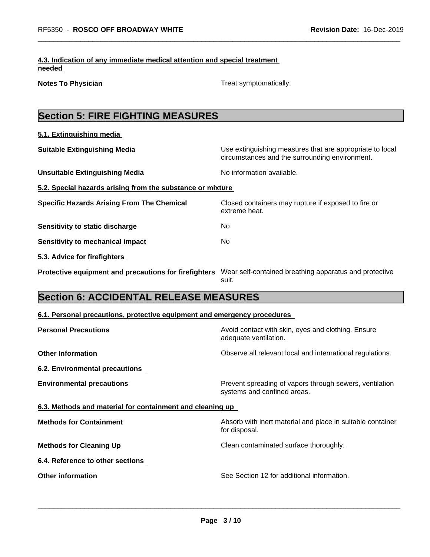### **4.3. Indication of any immediate medical attention and special treatment needed**

**Notes To Physician Treat symptomatically.** Treat symptomatically.

| <b>Section 5: FIRE FIGHTING MEASURES</b>                                                                     |                                                                                                            |
|--------------------------------------------------------------------------------------------------------------|------------------------------------------------------------------------------------------------------------|
| 5.1. Extinguishing media                                                                                     |                                                                                                            |
| <b>Suitable Extinguishing Media</b>                                                                          | Use extinguishing measures that are appropriate to local<br>circumstances and the surrounding environment. |
| <b>Unsuitable Extinguishing Media</b>                                                                        | No information available.                                                                                  |
| 5.2. Special hazards arising from the substance or mixture                                                   |                                                                                                            |
| <b>Specific Hazards Arising From The Chemical</b>                                                            | Closed containers may rupture if exposed to fire or<br>extreme heat.                                       |
| Sensitivity to static discharge                                                                              | No                                                                                                         |
| Sensitivity to mechanical impact                                                                             | No                                                                                                         |
| 5.3. Advice for firefighters                                                                                 |                                                                                                            |
| Protective equipment and precautions for firefighters Wear self-contained breathing apparatus and protective | suit.                                                                                                      |
| <b>Section 6: ACCIDENTAL RELEASE MEASURES</b>                                                                |                                                                                                            |
| 6.1. Personal precautions, protective equipment and emergency procedures                                     |                                                                                                            |
| <b>Personal Precautions</b>                                                                                  | Avoid contact with skin, eyes and clothing. Ensure<br>adequate ventilation.                                |
| <b>Other Information</b>                                                                                     | Observe all relevant local and international regulations.                                                  |
| <b>6.2. Environmental precautions</b>                                                                        |                                                                                                            |
| <b>Environmental precautions</b>                                                                             | Prevent spreading of vapors through sewers, ventilation<br>systems and confined areas.                     |
| 6.3. Methods and material for containment and cleaning up                                                    |                                                                                                            |
| <b>Methods for Containment</b>                                                                               | Absorb with inert material and place in suitable container<br>for disposal.                                |
| <b>Methods for Cleaning Up</b>                                                                               | Clean contaminated surface thoroughly.                                                                     |
| 6.4. Reference to other sections                                                                             |                                                                                                            |
| <b>Other information</b>                                                                                     | See Section 12 for additional information.                                                                 |
|                                                                                                              |                                                                                                            |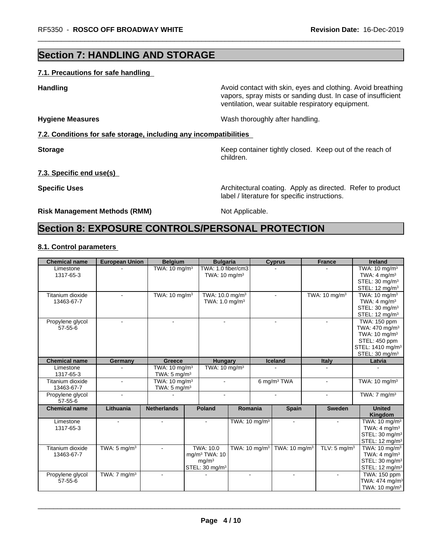# **Section 7: HANDLING AND STORAGE**

### **7.1. Precautions for safe handling**

**Handling Handling Avoid contact with skin, eyes and clothing. Avoid breathing** 

**Hygiene Measures** Mash thoroughly after handling.

label / literature for specific instructions.

**7.2. Conditions for safe storage, including any incompatibilities**

**Storage Keep container tightly closed. Keep out of the reach of Keep** container tightly closed. Keep out of the reach of children.

vapors, spray mists or sanding dust. In case of insufficient

ventilation, wear suitable respiratory equipment.

### **7.3. Specific end use(s)**

**Specific Uses Architectural coating. Apply as directed. Refer to product Specific Uses** 

# **Risk Management Methods (RMM)** Not Applicable.

# **Section 8: EXPOSURE CONTROLS/PERSONAL PROTECTION**

# **8.1. Control parameters**

| <b>Chemical name</b> | <b>European Union</b>   | <b>Belgium</b>            | <b>Bulgaria</b>             |                           |                          | <b>Cyprus</b>             | <b>France</b>             | <b>Ireland</b>               |
|----------------------|-------------------------|---------------------------|-----------------------------|---------------------------|--------------------------|---------------------------|---------------------------|------------------------------|
| Limestone            |                         | TWA: $10 \text{ mg/m}^3$  | TWA: 1.0 fiber/cm3          |                           |                          |                           |                           | TWA: 10 mg/m <sup>3</sup>    |
| 1317-65-3            |                         |                           | TWA: $10 \text{ mg/m}^3$    |                           |                          |                           |                           | TWA: $4 \text{ mg/m}^3$      |
|                      |                         |                           |                             |                           |                          |                           |                           | STEL: 30 mg/m <sup>3</sup>   |
|                      |                         |                           |                             |                           |                          |                           |                           | STEL: 12 mg/m <sup>3</sup>   |
| Titanium dioxide     |                         | TWA: 10 mg/m <sup>3</sup> | TWA: 10.0 mg/m <sup>3</sup> |                           |                          |                           | TWA: 10 mg/m <sup>3</sup> | TWA: 10 mg/m <sup>3</sup>    |
| 13463-67-7           |                         |                           | TWA: $1.0 \text{ mg/m}^3$   |                           |                          |                           |                           | TWA: $4 \text{ mg/m}^3$      |
|                      |                         |                           |                             |                           |                          |                           |                           | STEL: 30 mg/m <sup>3</sup>   |
|                      |                         |                           |                             |                           |                          |                           |                           | STEL: $12 \text{ mq/m}^3$    |
| Propylene glycol     | ÷                       | $\blacksquare$            | $\blacksquare$              |                           |                          | $\blacksquare$            | $\sim$                    | TWA: 150 ppm                 |
| $57 - 55 - 6$        |                         |                           |                             |                           |                          |                           |                           | TWA: 470 mg/m <sup>3</sup>   |
|                      |                         |                           |                             |                           |                          |                           |                           | TWA: 10 mg/m <sup>3</sup>    |
|                      |                         |                           |                             |                           |                          |                           |                           | STEL: 450 ppm                |
|                      |                         |                           |                             |                           |                          |                           |                           | STEL: 1410 mg/m <sup>3</sup> |
|                      |                         |                           |                             |                           |                          |                           |                           | STEL: 30 mg/m <sup>3</sup>   |
| <b>Chemical name</b> | Germany                 | Greece                    | <b>Hungary</b>              |                           |                          | <b>Iceland</b>            | <b>Italy</b>              | Latvia                       |
| Limestone            |                         | TWA: $10 \text{ mg/m}^3$  | TWA: $10 \text{ mg/m}^3$    |                           |                          |                           |                           |                              |
| 1317-65-3            |                         | TWA: $5 \text{ mg/m}^3$   |                             |                           |                          |                           |                           |                              |
| Titanium dioxide     | ÷.                      | TWA: 10 mg/m <sup>3</sup> | $\blacksquare$              |                           |                          | 6 mg/m <sup>3</sup> TWA   | $\sim$                    | TWA: 10 mg/m <sup>3</sup>    |
| 13463-67-7           |                         | TWA: $5 \text{ mg/m}^3$   |                             |                           |                          |                           |                           |                              |
| Propylene glycol     |                         |                           |                             |                           |                          |                           |                           | TWA: $7 \text{ mg/m}^3$      |
| $57 - 55 - 6$        |                         |                           |                             |                           |                          |                           |                           |                              |
| <b>Chemical name</b> | Lithuania               | <b>Netherlands</b>        | <b>Poland</b>               | Romania                   |                          | <b>Spain</b>              | <b>Sweden</b>             | <b>United</b>                |
|                      |                         |                           |                             |                           |                          |                           |                           | Kingdom                      |
| Limestone            |                         | $\blacksquare$            | $\sim$                      | TWA: 10 mg/m <sup>3</sup> |                          | $\blacksquare$            | $\blacksquare$            | TWA: 10 mg/m <sup>3</sup>    |
| 1317-65-3            |                         |                           |                             |                           |                          |                           |                           | TWA: $4 \text{ mg/m}^3$      |
|                      |                         |                           |                             |                           |                          |                           |                           | STEL: 30 mg/m <sup>3</sup>   |
|                      |                         |                           |                             |                           |                          |                           |                           | STEL: 12 mg/m <sup>3</sup>   |
| Titanium dioxide     | TWA: $5 \text{ mg/m}^3$ |                           | TWA: 10.0                   |                           | TWA: $10 \text{ mg/m}^3$ | TWA: 10 mg/m <sup>3</sup> | TLV: $5 \text{ mg/m}^3$   | TWA: 10 mg/m <sup>3</sup>    |
| 13463-67-7           |                         |                           | mq/m <sup>3</sup> TWA: 10   |                           |                          |                           |                           | TWA: $4 \text{ mg/m}^3$      |
|                      |                         |                           | mq/m <sup>3</sup>           |                           |                          |                           |                           | STEL: 30 mg/m <sup>3</sup>   |
|                      |                         |                           | STEL: 30 mg/m <sup>3</sup>  |                           |                          |                           |                           | STEL: 12 mg/m <sup>3</sup>   |
| Propylene glycol     | TWA: $7 \text{ mg/m}^3$ | $\sim$                    |                             | $\blacksquare$            |                          | $\blacksquare$            | $\blacksquare$            | TWA: 150 ppm                 |
| $57 - 55 - 6$        |                         |                           |                             |                           |                          |                           |                           | TWA: 474 mg/m <sup>3</sup>   |
|                      |                         |                           |                             |                           |                          |                           |                           |                              |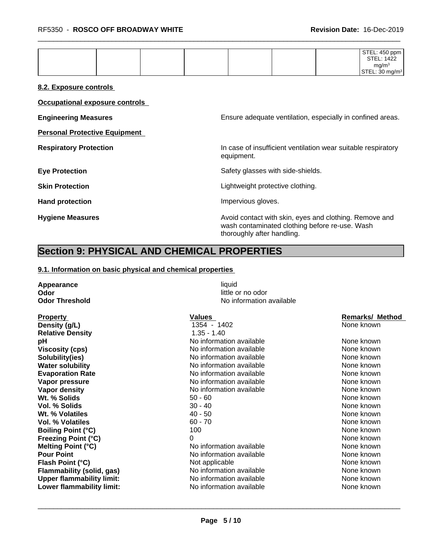| ma/m <sup>3</sup> |  |  | STEL: 450 ppm<br>STEL: 1422 |             |
|-------------------|--|--|-----------------------------|-------------|
|                   |  |  | .22<br><b>CTEL</b>          | J ma/m $^3$ |

#### **8.2. Exposure controls**

**Occupational exposure controls**

**Personal Protective Equipment**

**Engineering Measures Ensure** Ensure adequate ventilation, especially in confined areas.

**Respiratory Protection In case of insufficient ventilation wear suitable respiratory** equipment.

**Eye Protection** Safety glasses with side-shields.

**Skin Protection Skin Protection Lightweight protective clothing.** 

Hand protection **Impervious gloves**.

**Hygiene Measures Avoid contact with skin, eyes and clothing. Remove and Avoid contact with skin, eyes and clothing. Remove and Avoid contact with skin, eyes and clothing. Remove and** wash contaminated clothing before re-use. Wash thoroughly after handling.

# **Section 9: PHYSICAL AND CHEMICAL PROPERTIES**

#### **9.1. Information on basic physical and chemical properties**

**Appearance** liquid **Odor** little or no odor

**Odor Threshold** No information available

| <b>Property</b>                  | Values                   | <b>Remarks/ Method</b> |
|----------------------------------|--------------------------|------------------------|
| Density (g/L)                    | 1354 - 1402              | None known             |
| <b>Relative Density</b>          | $1.35 - 1.40$            |                        |
| рH                               | No information available | None known             |
| <b>Viscosity (cps)</b>           | No information available | None known             |
| Solubility(ies)                  | No information available | None known             |
| <b>Water solubility</b>          | No information available | None known             |
| <b>Evaporation Rate</b>          | No information available | None known             |
| Vapor pressure                   | No information available | None known             |
| Vapor density                    | No information available | None known             |
| Wt. % Solids                     | $50 - 60$                | None known             |
| Vol. % Solids                    | $30 - 40$                | None known             |
| Wt. % Volatiles                  | $40 - 50$                | None known             |
| Vol. % Volatiles                 | $60 - 70$                | None known             |
| <b>Boiling Point (°C)</b>        | 100                      | None known             |
| <b>Freezing Point (°C)</b>       | 0                        | None known             |
| <b>Melting Point (°C)</b>        | No information available | None known             |
| <b>Pour Point</b>                | No information available | None known             |
| Flash Point (°C)                 | Not applicable           | None known             |
| Flammability (solid, gas)        | No information available | None known             |
| <b>Upper flammability limit:</b> | No information available | None known             |
| Lower flammability limit:        | No information available | None known             |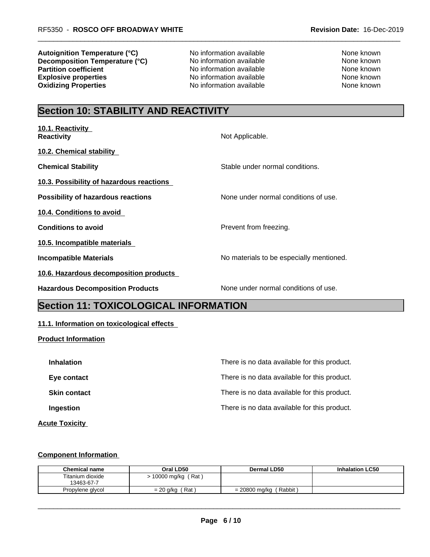**Autoignition Temperature (°C)** No information available None known **Decomposition Temperature (°C)** No information available None known **Partition coefficient**<br> **Explosive properties**<br>
No information available<br>
None known<br>
None known **Oxidizing Properties** No information available

No information available<br>
No information available<br>
None known<br>
None known

# **Section 10: STABILITY AND REACTIVITY**

| 10.1. Reactivity<br><b>Reactivity</b>     | Not Applicable.                          |
|-------------------------------------------|------------------------------------------|
| 10.2. Chemical stability                  |                                          |
| <b>Chemical Stability</b>                 | Stable under normal conditions.          |
| 10.3. Possibility of hazardous reactions  |                                          |
| <b>Possibility of hazardous reactions</b> | None under normal conditions of use.     |
| <b>10.4. Conditions to avoid</b>          |                                          |
| <b>Conditions to avoid</b>                | Prevent from freezing.                   |
| 10.5. Incompatible materials              |                                          |
| <b>Incompatible Materials</b>             | No materials to be especially mentioned. |
| 10.6. Hazardous decomposition products    |                                          |
| <b>Hazardous Decomposition Products</b>   | None under normal conditions of use.     |

# **Section 11: TOXICOLOGICAL INFORMATION**

# **11.1. Information on toxicological effects**

#### **Product Information**

| <b>Inhalation</b>   | There is no data available for this product. |
|---------------------|----------------------------------------------|
| Eye contact         | There is no data available for this product. |
| <b>Skin contact</b> | There is no data available for this product. |
| <b>Ingestion</b>    | There is no data available for this product. |
|                     |                                              |

#### **Acute Toxicity**

#### **Component Information**

| <b>Chemical name</b>           | Oral LD50            | <b>Dermal LD50</b>      | <b>Inhalation LC50</b> |
|--------------------------------|----------------------|-------------------------|------------------------|
| Titanium dioxide<br>13463-67-7 | (Rat)<br>10000 mg/kg |                         |                        |
| Propylene alvcol               | Rat,<br>= 20 a/ka    | Rabbit<br>= 20800 mg/kg |                        |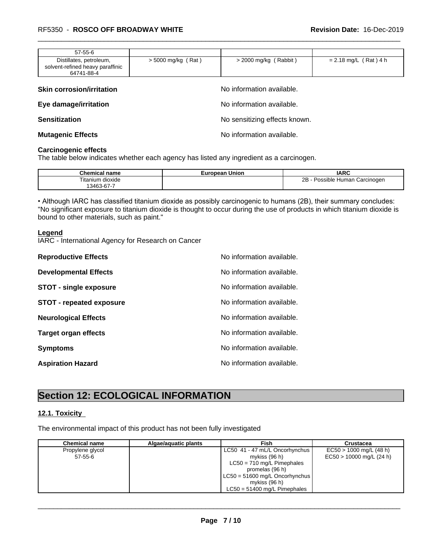| $57 - 55 - 6$                                                             |                      |                       |                         |
|---------------------------------------------------------------------------|----------------------|-----------------------|-------------------------|
| Distillates, petroleum,<br>solvent-refined heavy paraffinic<br>64741-88-4 | $>$ 5000 mg/kg (Rat) | > 2000 mg/kg (Rabbit) | $= 2.18$ mg/L (Rat) 4 h |

| <b>Skin corrosion/irritation</b> | No information available.     |
|----------------------------------|-------------------------------|
| Eye damage/irritation            | No information available.     |
| <b>Sensitization</b>             | No sensitizing effects known. |
| <b>Mutagenic Effects</b>         | No information available.     |

#### **Carcinogenic effects**

The table below indicates whether each agency has listed any ingredient as a carcinogen.

| Chemical<br>name            | uropean Union<br>–uro•∶ | <b>IARC</b>                                   |
|-----------------------------|-------------------------|-----------------------------------------------|
| Titanium dioxide            |                         | ∼<br><b>Human</b><br>. Carcinogen<br>Possible |
| $\sim$ $\sim$<br>13463-67-7 |                         |                                               |

• Although IARC has classified titanium dioxide as possibly carcinogenic to humans (2B), their summary concludes: "No significant exposure to titanium dioxide is thought to occur during the use of products in which titanium dioxide is bound to other materials, such as paint."

#### **Legend**

IARC - International Agency for Research on Cancer

| <b>Reproductive Effects</b>     | No information available. |
|---------------------------------|---------------------------|
| <b>Developmental Effects</b>    | No information available. |
| <b>STOT - single exposure</b>   | No information available. |
| <b>STOT - repeated exposure</b> | No information available. |
| <b>Neurological Effects</b>     | No information available. |
| <b>Target organ effects</b>     | No information available. |
| <b>Symptoms</b>                 | No information available. |
| <b>Aspiration Hazard</b>        | No information available. |

# **Section 12: ECOLOGICAL INFORMATION**

# **12.1. Toxicity**

The environmental impact of this product has not been fully investigated

| <b>Chemical name</b> | Algae/aguatic plants | Fish                           | Crustacea                  |
|----------------------|----------------------|--------------------------------|----------------------------|
| Propylene glycol     |                      | LC50 41 - 47 mL/L Oncorhynchus | $EC50 > 1000$ mg/L (48 h)  |
| 57-55-6              |                      | mykiss (96 h)                  | $EC50 > 10000$ mg/L (24 h) |
|                      |                      | $LC50 = 710$ mg/L Pimephales   |                            |
|                      |                      | promelas (96 h)                |                            |
|                      |                      | LC50 = 51600 mg/L Oncorhynchus |                            |
|                      |                      | mykiss (96 h)                  |                            |
|                      |                      | $LC50 = 51400$ mg/L Pimephales |                            |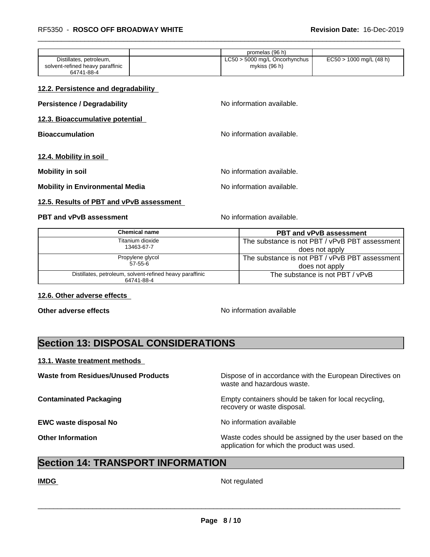|                                                             | promelas (96 h)                                  |                           |
|-------------------------------------------------------------|--------------------------------------------------|---------------------------|
| Distillates, petroleum,<br>solvent-refined heavy paraffinic | $LC50 > 5000$ mg/L Oncorhynchus<br>mykiss (96 h) | $EC50 > 1000$ mg/L (48 h) |
| 64741-88-4                                                  |                                                  |                           |

#### **12.2. Persistence and degradability**

| <b>Persistence / Degradability</b>     | No information available. |
|----------------------------------------|---------------------------|
| 12.3. Bioaccumulative potential        |                           |
| <b>Bioaccumulation</b>                 | No information available. |
| 12.4. Mobility in soil                 |                           |
| <b>Mobility in soil</b>                | No information available. |
| <b>Mobility in Environmental Media</b> | No information available. |

# **12.5. Results of PBT and vPvB assessment**

# **PBT and vPvB assessment** No information available.

| Chemical name                                                          | <b>PBT and vPvB assessment</b>                 |
|------------------------------------------------------------------------|------------------------------------------------|
| Titanium dioxide                                                       | The substance is not PBT / vPvB PBT assessment |
| 13463-67-7                                                             | does not apply                                 |
| Propylene glycol                                                       | The substance is not PBT / vPvB PBT assessment |
| 57-55-6                                                                | does not apply                                 |
| Distillates, petroleum, solvent-refined heavy paraffinic<br>64741-88-4 | The substance is not PBT / vPvB                |

#### **12.6. Other adverse effects**

**Other adverse effects No information available No information available** 

# **Section 13: DISPOSAL CONSIDERATIONS**

#### **13.1. Waste treatment methods**

**Waste from Residues/Unused Products** Dispose of in accordance with the European Directives on waste and hazardous waste.

**Contaminated Packaging <b>EMP** Empty containers should be taken for local recycling, recovery or waste disposal.

**EWC waste disposal No** Noinformation available

**Other Information Other Information Intervellence in the Waste codes should be assigned by the user based on the** application for which the product was used.

# **Section 14: TRANSPORT INFORMATION**

**IMDG** Not regulated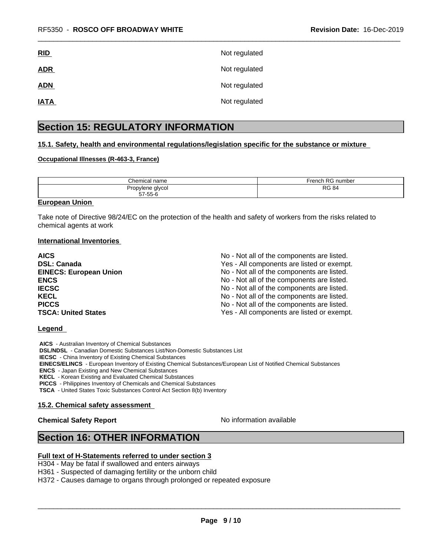| <u>RID</u>  | Not regulated |
|-------------|---------------|
| <b>ADR</b>  | Not regulated |
| <b>ADN</b>  | Not regulated |
| <u>IATA</u> | Not regulated |

# **Section 15: REGULATORY INFORMATION**

### **15.1. Safety, health and environmental regulations/legislation specific for the substance or mixture**

#### **Occupational Illnesses (R-463-3, France)**

| .`hemical<br>l name | D <sub>C</sub><br>∙rench<br>number<br>- רש |
|---------------------|--------------------------------------------|
| Propylene glycol    | D.C                                        |
| 57-55-6             | 84                                         |
| --                  | בטר                                        |

#### **European Union**

Take note of Directive 98/24/EC on the protection of the health and safety of workers from the risks related to chemical agents at work

#### **International Inventories**

| <b>AICS</b>                   | No - Not all of the components are listed. |
|-------------------------------|--------------------------------------------|
| <b>DSL: Canada</b>            | Yes - All components are listed or exempt. |
| <b>EINECS: European Union</b> | No - Not all of the components are listed. |
| <b>ENCS</b>                   | No - Not all of the components are listed. |
| <b>IECSC</b>                  | No - Not all of the components are listed. |
| <b>KECL</b>                   | No - Not all of the components are listed. |
| <b>PICCS</b>                  | No - Not all of the components are listed. |
| <b>TSCA: United States</b>    | Yes - All components are listed or exempt. |

#### **Legend**

 **AICS** - Australian Inventory of Chemical Substances

 **DSL/NDSL** - Canadian Domestic Substances List/Non-Domestic Substances List

 **IECSC** - China Inventory of Existing Chemical Substances

 **EINECS/ELINCS** - European Inventory of Existing Chemical Substances/European List of Notified Chemical Substances

 **ENCS** - Japan Existing and New Chemical Substances

 **KECL** - Korean Existing and Evaluated Chemical Substances

 **PICCS** - Philippines Inventory of Chemicals and Chemical Substances

 **TSCA** - United States Toxic Substances Control Act Section 8(b) Inventory

#### **15.2. Chemical safety assessment**

# **Chemical Safety Report** No information available

 $\overline{\phantom{a}}$  ,  $\overline{\phantom{a}}$  ,  $\overline{\phantom{a}}$  ,  $\overline{\phantom{a}}$  ,  $\overline{\phantom{a}}$  ,  $\overline{\phantom{a}}$  ,  $\overline{\phantom{a}}$  ,  $\overline{\phantom{a}}$  ,  $\overline{\phantom{a}}$  ,  $\overline{\phantom{a}}$  ,  $\overline{\phantom{a}}$  ,  $\overline{\phantom{a}}$  ,  $\overline{\phantom{a}}$  ,  $\overline{\phantom{a}}$  ,  $\overline{\phantom{a}}$  ,  $\overline{\phantom{a}}$ 

# **Section 16: OTHER INFORMATION**

### **Full text of H-Statements referred to under section 3**

H304 - May be fatal if swallowed and enters airways

H361 - Suspected of damaging fertility or the unborn child

H372 - Causes damage to organs through prolonged or repeated exposure